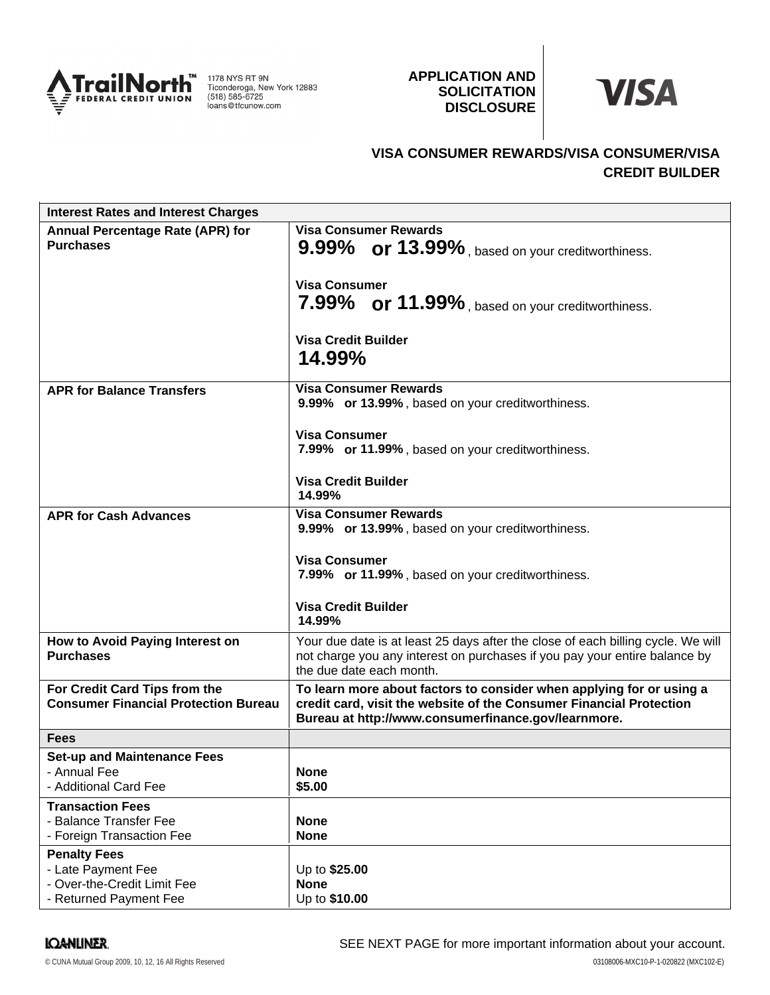

1178 NYS RT 9N<br>Ticonderoga, New York 12883<br>(518) 585-6725 loans@tfcunow.com

## **APPLICATION AND SOLICITATION DISCLOSURE**



# **VISA CONSUMER REWARDS/VISA CONSUMER/VISA CREDIT BUILDER**

| <b>Interest Rates and Interest Charges</b>                                                         |                                                                                                                                                                                                    |
|----------------------------------------------------------------------------------------------------|----------------------------------------------------------------------------------------------------------------------------------------------------------------------------------------------------|
| <b>Annual Percentage Rate (APR) for</b><br><b>Purchases</b>                                        | <b>Visa Consumer Rewards</b><br>9.99% or 13.99%, based on your creditworthiness.                                                                                                                   |
|                                                                                                    | <b>Visa Consumer</b><br>7.99% or 11.99%, based on your creditworthiness.                                                                                                                           |
|                                                                                                    | <b>Visa Credit Builder</b><br>14.99%                                                                                                                                                               |
| <b>APR for Balance Transfers</b>                                                                   | <b>Visa Consumer Rewards</b><br>9.99% or 13.99%, based on your creditworthiness.                                                                                                                   |
|                                                                                                    | <b>Visa Consumer</b><br>7.99% or 11.99%, based on your creditworthiness.                                                                                                                           |
|                                                                                                    | <b>Visa Credit Builder</b><br>14.99%                                                                                                                                                               |
| <b>APR for Cash Advances</b>                                                                       | <b>Visa Consumer Rewards</b><br>9.99% or 13.99%, based on your creditworthiness.                                                                                                                   |
|                                                                                                    | <b>Visa Consumer</b><br>7.99% or 11.99%, based on your creditworthiness.                                                                                                                           |
|                                                                                                    | <b>Visa Credit Builder</b><br>14.99%                                                                                                                                                               |
| How to Avoid Paying Interest on<br><b>Purchases</b>                                                | Your due date is at least 25 days after the close of each billing cycle. We will<br>not charge you any interest on purchases if you pay your entire balance by<br>the due date each month.         |
| For Credit Card Tips from the<br><b>Consumer Financial Protection Bureau</b>                       | To learn more about factors to consider when applying for or using a<br>credit card, visit the website of the Consumer Financial Protection<br>Bureau at http://www.consumerfinance.gov/learnmore. |
| <b>Fees</b>                                                                                        |                                                                                                                                                                                                    |
| <b>Set-up and Maintenance Fees</b>                                                                 |                                                                                                                                                                                                    |
| - Annual Fee<br>- Additional Card Fee                                                              | <b>None</b><br>\$5.00                                                                                                                                                                              |
| <b>Transaction Fees</b><br>- Balance Transfer Fee<br>- Foreign Transaction Fee                     | <b>None</b><br><b>None</b>                                                                                                                                                                         |
| <b>Penalty Fees</b><br>- Late Payment Fee<br>- Over-the-Credit Limit Fee<br>- Returned Payment Fee | Up to \$25.00<br><b>None</b><br>Up to \$10.00                                                                                                                                                      |

### **IQANLINER**